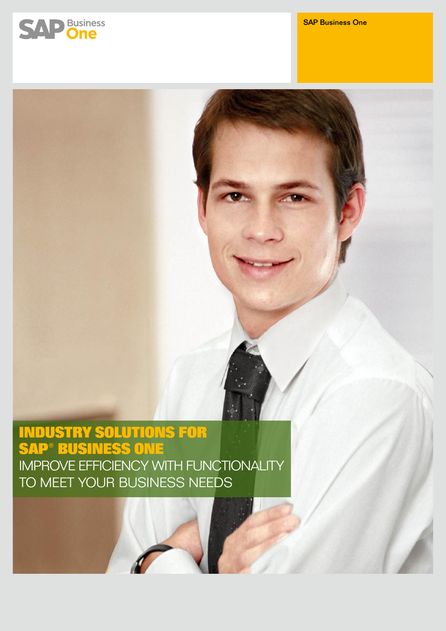

# **Industry Solutions for SAP® Business One** Improve Efficiency with Functionality to Meet Your Business Needs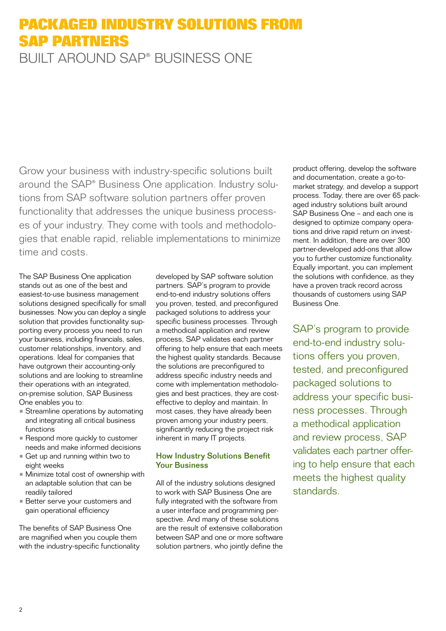# **Packaged Industry Solutions from SAP Partners** Built Around SAP® Business One

Grow your business with industry-specific solutions built around the SAP® Business One application. Industry solutions from SAP software solution partners offer proven functionality that addresses the unique business processes of your industry. They come with tools and methodologies that enable rapid, reliable implementations to minimize time and costs.

The SAP Business One application stands out as one of the best and easiest-to-use business management solutions designed specifically for small businesses. Now you can deploy a single solution that provides functionality supporting every process you need to run your business, including financials, sales, customer relationships, inventory, and operations. Ideal for companies that have outgrown their accounting-only solutions and are looking to streamline their operations with an integrated, on-premise solution, SAP Business One enables you to:

- Streamline operations by automating and integrating all critical business functions
- Respond more quickly to customer needs and make informed decisions
- Get up and running within two to eight weeks
- Minimize total cost of ownership with an adaptable solution that can be readily tailored
- Better serve your customers and gain operational efficiency

The benefits of SAP Business One are magnified when you couple them with the industry-specific functionality developed by SAP software solution partners. SAP's program to provide end-to-end industry solutions offers you proven, tested, and preconfigured packaged solutions to address your specific business processes. Through a methodical application and review process, SAP validates each partner offering to help ensure that each meets the highest quality standards. Because the solutions are preconfigured to address specific industry needs and come with implementation methodologies and best practices, they are costeffective to deploy and maintain. In most cases, they have already been proven among your industry peers, significantly reducing the project risk inherent in many IT projects.

### How Industry Solutions Benefit Your Business

All of the industry solutions designed to work with SAP Business One are fully integrated with the software from a user interface and programming perspective. And many of these solutions are the result of extensive collaboration between SAP and one or more software solution partners, who jointly define the product offering, develop the software and documentation, create a go-tomarket strategy, and develop a support process. Today, there are over 65 packaged industry solutions built around SAP Business One – and each one is designed to optimize company operations and drive rapid return on investment. In addition, there are over 300 partner-developed add-ons that allow you to further customize functionality. Equally important, you can implement the solutions with confidence, as they have a proven track record across thousands of customers using SAP Business One.

SAP's program to provide end-to-end industry solutions offers you proven, tested, and preconfigured packaged solutions to address your specific business processes. Through a methodical application and review process, SAP validates each partner offering to help ensure that each meets the highest quality standards.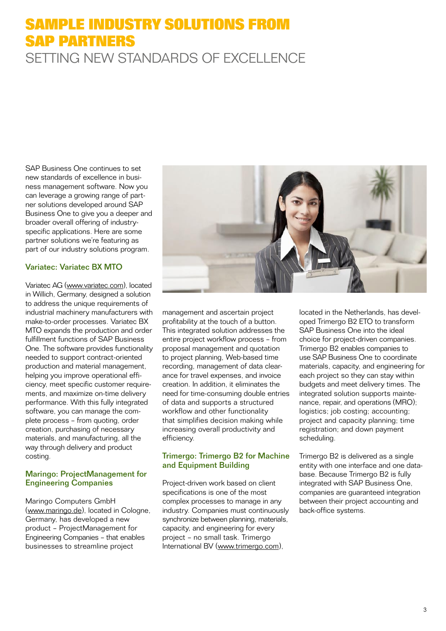## **Sample Industry Solutions from SAP Partners** Setting New Standards of Excellence

SAP Business One continues to set new standards of excellence in business management software. Now you can leverage a growing range of partner solutions developed around SAP Business One to give you a deeper and broader overall offering of industryspecific applications. Here are some partner solutions we're featuring as part of our industry solutions program.

#### Variatec: Variatec BX MTO

Variatec AG (www.variatec.com), located in Willich, Germany, designed a solution to address the unique requirements of industrial machinery manufacturers with make-to-order processes. Variatec BX MTO expands the production and order fulfillment functions of SAP Business One. The software provides functionality needed to support contract-oriented production and material management, helping you improve operational efficiency, meet specific customer requirements, and maximize on-time delivery performance. With this fully integrated software, you can manage the complete process – from quoting, order creation, purchasing of necessary materials, and manufacturing, all the way through delivery and product costing.

#### Maringo: ProjectManagement for Engineering Companies

Maringo Computers GmbH [\(www.maringo.de](www.maringo.de)), located in Cologne, Germany, has developed a new product – ProjectManagement for Engineering Companies – that enables businesses to streamline project



management and ascertain project profitability at the touch of a button. This integrated solution addresses the entire project workflow process – from proposal management and quotation to project planning, Web-based time recording, management of data clearance for travel expenses, and invoice creation. In addition, it eliminates the need for time-consuming double entries of data and supports a structured workflow and other functionality that simplifies decision making while increasing overall productivity and efficiency.

#### Trimergo: Trimergo B2 for Machine and Equipment Building

Project-driven work based on client specifications is one of the most complex processes to manage in any industry. Companies must continuously synchronize between planning, materials, capacity, and engineering for every project – no small task. Trimergo International BV (www.trimergo.com),

located in the Netherlands, has developed Trimergo B2 ETO to transform SAP Business One into the ideal choice for project-driven companies. Trimergo B2 enables companies to use SAP Business One to coordinate materials, capacity, and engineering for each project so they can stay within budgets and meet delivery times. The integrated solution supports maintenance, repair, and operations (MRO); logistics; job costing; accounting; project and capacity planning; time registration; and down payment scheduling.

Trimergo B2 is delivered as a single entity with one interface and one database. Because Trimergo B2 is fully integrated with SAP Business One, companies are guaranteed integration between their project accounting and back-office systems.